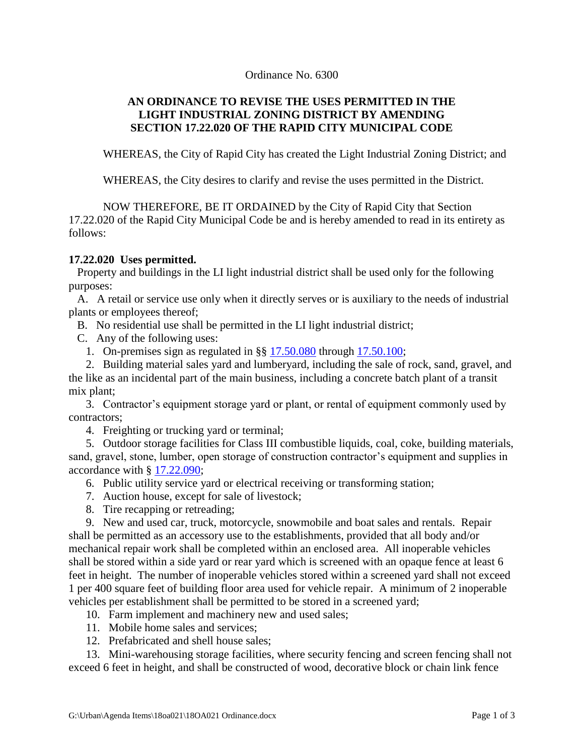## Ordinance No. 6300

## **AN ORDINANCE TO REVISE THE USES PERMITTED IN THE LIGHT INDUSTRIAL ZONING DISTRICT BY AMENDING SECTION 17.22.020 OF THE RAPID CITY MUNICIPAL CODE**

WHEREAS, the City of Rapid City has created the Light Industrial Zoning District; and

WHEREAS, the City desires to clarify and revise the uses permitted in the District.

NOW THEREFORE, BE IT ORDAINED by the City of Rapid City that Section 17.22.020 of the Rapid City Municipal Code be and is hereby amended to read in its entirety as follows:

## **17.22.020 Uses permitted.**

 Property and buildings in the LI light industrial district shall be used only for the following purposes:

 A. A retail or service use only when it directly serves or is auxiliary to the needs of industrial plants or employees thereof;

B. No residential use shall be permitted in the LI light industrial district;

C. Any of the following uses:

1. On-premises sign as regulated in §§ [17.50.080](http://library.amlegal.com/nxt/gateway.dll?f=jumplink$jumplink_x=Advanced$jumplink_vpc=first$jumplink_xsl=querylink.xsl$jumplink_sel=title;path;content-type;home-title;item-bookmark$jumplink_d=south%20dakota(rapidcity_sd)$jumplink_q=%5bfield%20folio-destination-name:%2717.50.080%27%5d$jumplink_md=target-id=JD_17.50.080) through [17.50.100;](http://library.amlegal.com/nxt/gateway.dll?f=jumplink$jumplink_x=Advanced$jumplink_vpc=first$jumplink_xsl=querylink.xsl$jumplink_sel=title;path;content-type;home-title;item-bookmark$jumplink_d=south%20dakota(rapidcity_sd)$jumplink_q=%5bfield%20folio-destination-name:%2717.50.100%27%5d$jumplink_md=target-id=JD_17.50.100)

 2. Building material sales yard and lumberyard, including the sale of rock, sand, gravel, and the like as an incidental part of the main business, including a concrete batch plant of a transit mix plant;

 3. Contractor's equipment storage yard or plant, or rental of equipment commonly used by contractors;

4. Freighting or trucking yard or terminal;

 5. Outdoor storage facilities for Class III combustible liquids, coal, coke, building materials, sand, gravel, stone, lumber, open storage of construction contractor's equipment and supplies in accordance with § [17.22.090;](http://library.amlegal.com/nxt/gateway.dll?f=jumplink$jumplink_x=Advanced$jumplink_vpc=first$jumplink_xsl=querylink.xsl$jumplink_sel=title;path;content-type;home-title;item-bookmark$jumplink_d=south%20dakota(rapidcity_sd)$jumplink_q=%5bfield%20folio-destination-name:%2717.22.090%27%5d$jumplink_md=target-id=JD_17.22.090)

6. Public utility service yard or electrical receiving or transforming station;

7. Auction house, except for sale of livestock;

8. Tire recapping or retreading;

 9. New and used car, truck, motorcycle, snowmobile and boat sales and rentals. Repair shall be permitted as an accessory use to the establishments, provided that all body and/or mechanical repair work shall be completed within an enclosed area. All inoperable vehicles shall be stored within a side yard or rear yard which is screened with an opaque fence at least 6 feet in height. The number of inoperable vehicles stored within a screened yard shall not exceed 1 per 400 square feet of building floor area used for vehicle repair. A minimum of 2 inoperable vehicles per establishment shall be permitted to be stored in a screened yard;

10. Farm implement and machinery new and used sales;

- 11. Mobile home sales and services;
- 12. Prefabricated and shell house sales;

 13. Mini-warehousing storage facilities, where security fencing and screen fencing shall not exceed 6 feet in height, and shall be constructed of wood, decorative block or chain link fence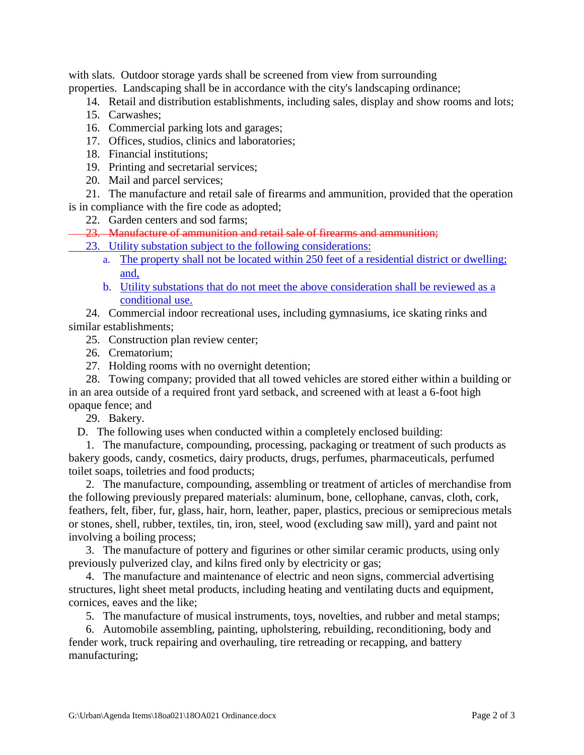with slats. Outdoor storage yards shall be screened from view from surrounding properties. Landscaping shall be in accordance with the city's landscaping ordinance;

- 14. Retail and distribution establishments, including sales, display and show rooms and lots;
- 15. Carwashes;
- 16. Commercial parking lots and garages;
- 17. Offices, studios, clinics and laboratories;
- 18. Financial institutions;
- 19. Printing and secretarial services;
- 20. Mail and parcel services;

 21. The manufacture and retail sale of firearms and ammunition, provided that the operation is in compliance with the fire code as adopted;

- 22. Garden centers and sod farms;
- 23. Manufacture of ammunition and retail sale of firearms and ammunition;
	- 23. Utility substation subject to the following considerations:
		- a. The property shall not be located within 250 feet of a residential district or dwelling; and,
		- b. Utility substations that do not meet the above consideration shall be reviewed as a conditional use.
- 24. Commercial indoor recreational uses, including gymnasiums, ice skating rinks and similar establishments;
	- 25. Construction plan review center;
	- 26. Crematorium;
	- 27. Holding rooms with no overnight detention;

 28. Towing company; provided that all towed vehicles are stored either within a building or in an area outside of a required front yard setback, and screened with at least a 6-foot high opaque fence; and

29. Bakery.

D. The following uses when conducted within a completely enclosed building:

 1. The manufacture, compounding, processing, packaging or treatment of such products as bakery goods, candy, cosmetics, dairy products, drugs, perfumes, pharmaceuticals, perfumed toilet soaps, toiletries and food products;

 2. The manufacture, compounding, assembling or treatment of articles of merchandise from the following previously prepared materials: aluminum, bone, cellophane, canvas, cloth, cork, feathers, felt, fiber, fur, glass, hair, horn, leather, paper, plastics, precious or semiprecious metals or stones, shell, rubber, textiles, tin, iron, steel, wood (excluding saw mill), yard and paint not involving a boiling process;

 3. The manufacture of pottery and figurines or other similar ceramic products, using only previously pulverized clay, and kilns fired only by electricity or gas;

 4. The manufacture and maintenance of electric and neon signs, commercial advertising structures, light sheet metal products, including heating and ventilating ducts and equipment, cornices, eaves and the like;

5. The manufacture of musical instruments, toys, novelties, and rubber and metal stamps;

 6. Automobile assembling, painting, upholstering, rebuilding, reconditioning, body and fender work, truck repairing and overhauling, tire retreading or recapping, and battery manufacturing;